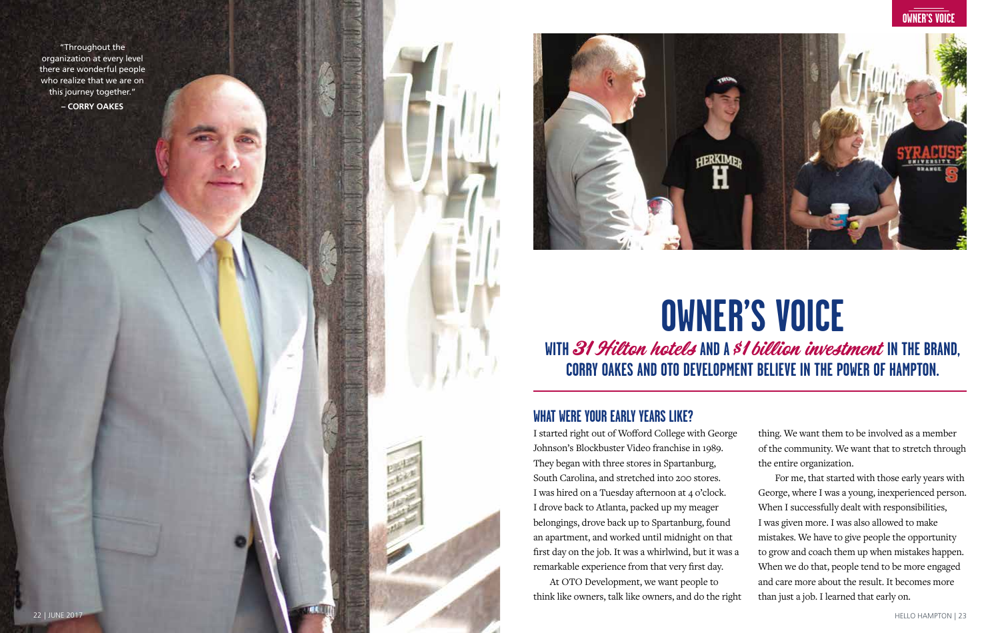"Throughout the organization at every level there are wonderful people who realize that we are on this journey together."

**– CORRY OAKES**





# **OWNER'S VOICE**

WITH 31 Hilton hotels AND A \$1 billion investment IN THE BRAND, **CORRY OAKES AND OTO DEVELOPMENT BELIEVE IN THE POWER OF HAMPTON.**

#### **WHAT WERE YOUR EARLY YEARS LIKE?**

I started right out of Wofford College with George Johnson's Blockbuster Video franchise in 1989. They began with three stores in Spartanburg, South Carolina, and stretched into 200 stores. I was hired on a Tuesday afternoon at 4 o'clock. I drove back to Atlanta, packed up my meager belongings, drove back up to Spartanburg, found an apartment, and worked until midnight on that first day on the job. It was a whirlwind, but it was a remarkable experience from that very first day.

At OTO Development, we want people to think like owners, talk like owners, and do the right thing. We want them to be involved as a member of the community. We want that to stretch through the entire organization.

For me, that started with those early years with George, where I was a young, inexperienced person. When I successfully dealt with responsibilities, I was given more. I was also allowed to make mistakes. We have to give people the opportunity to grow and coach them up when mistakes happen. When we do that, people tend to be more engaged and care more about the result. It becomes more than just a job. I learned that early on.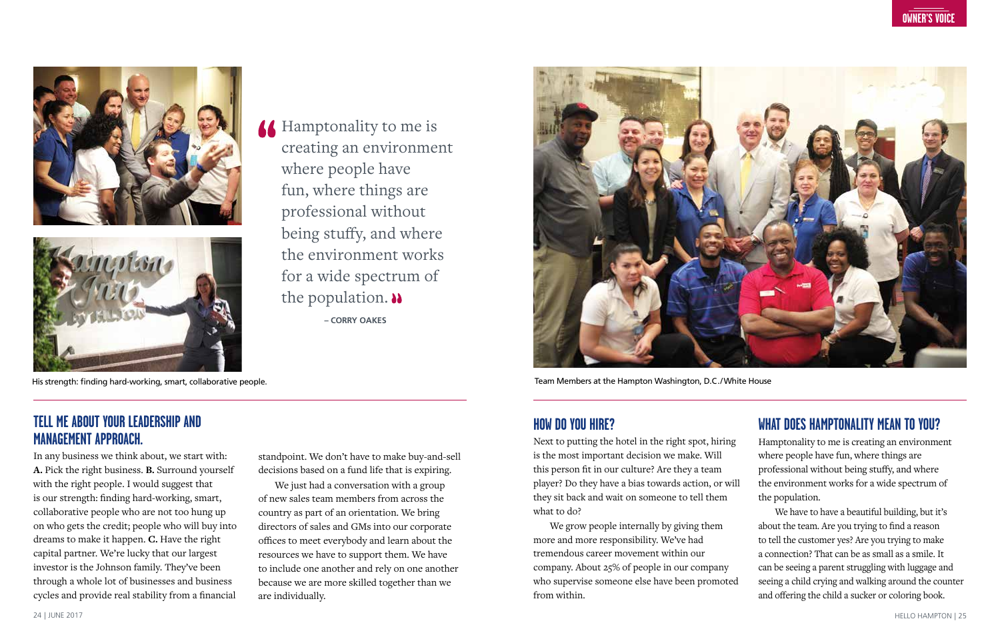



## **A** Hamptonality to me is creating an environment where people have fun, where things are professional without being stuffy, and where the environment works for a wide spectrum of the population.  $\lambda$ **– CORRY OAKES**

His strength: finding hard-working, smart, collaborative people. Team Members at the Hampton Washington, D.C./White House

#### **HOW DO YOU HIRE?**

Next to putting the hotel in the right spot, hiring is the most important decision we make. Will this person fit in our culture? Are they a team player? Do they have a bias towards action, or will they sit back and wait on someone to tell them what to do?

We grow people internally by giving them more and more responsibility. We've had tremendous career movement within our company. About 25% of people in our company who supervise someone else have been promoted from within.

### **WHAT DOES HAMPTONALITY MEAN TO YOU?**

Hamptonality to me is creating an environment where people have fun, where things are professional without being stuffy, and where the environment works for a wide spectrum of the population.

We have to have a beautiful building, but it's about the team. Are you trying to find a reason to tell the customer yes? Are you trying to make a connection? That can be as small as a smile. It can be seeing a parent struggling with luggage and seeing a child crying and walking around the counter and offering the child a sucker or coloring book.

#### **TELL ME ABOUT YOUR LEADERSHIP AND MANAGEMENT APPROACH.**

In any business we think about, we start with: **A.** Pick the right business. **B.** Surround yourself with the right people. I would suggest that is our strength: finding hard-working, smart, collaborative people who are not too hung up on who gets the credit; people who will buy into dreams to make it happen. **C.** Have the right capital partner. We're lucky that our largest investor is the Johnson family. They've been through a whole lot of businesses and business cycles and provide real stability from a financial standpoint. We don't have to make buy-and-sell decisions based on a fund life that is expiring.

We just had a conversation with a group of new sales team members from across the country as part of an orientation. We bring directors of sales and GMs into our corporate offices to meet everybody and learn about the resources we have to support them. We have to include one another and rely on one another because we are more skilled together than we are individually.